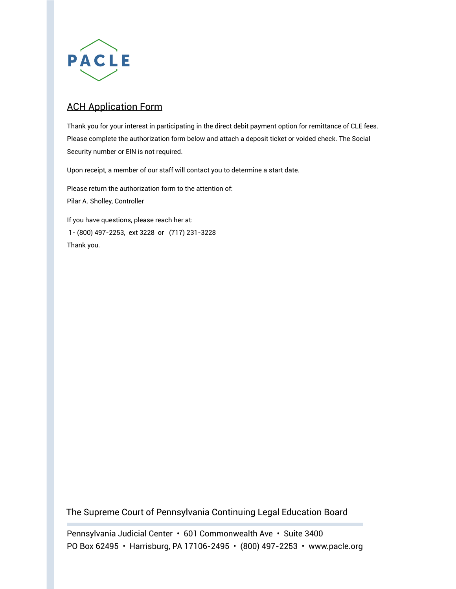

## ACH Application Form

Thank you for your interest in participating in the direct debit payment option for remittance of CLE fees. Please complete the authorization form below and attach a deposit ticket or voided check. The Social Security number or EIN is not required.

Upon receipt, a member of our staff will contact you to determine a start date.

Please return the authorization form to the attention of: Pilar A. Sholley, Controller

If you have questions, please reach her at: 1- (800) 497-2253, ext 3228 or (717) 231-3228 Thank you.

The Supreme Court of Pennsylvania Continuing Legal Education Board

Pennsylvania Judicial Center • 601 Commonwealth Ave • Suite 3400 PO Box 62495 • Harrisburg, PA 17106-2495 • (800) 497-2253 • www.pacle.org